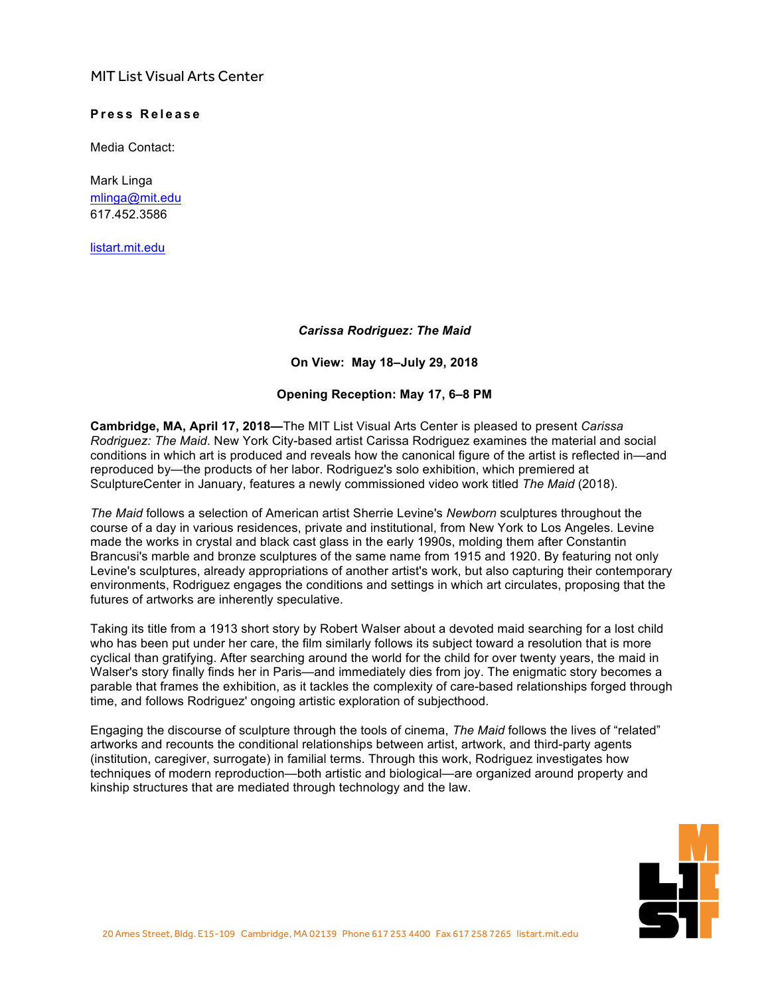## MIT List Visual Arts Center

## $Pres$  **Release**

Media Contact:

Mark Linga [mlinga@mit.edu](mailto:mlinga@mit.edu) [617.452.3586](tel:6174523586)

<listart.mit.edu>

## *Carissa Rodriguez: The Maid*

**On View: May 18–July 29, 2018**

## **Opening Reception: May 17, 6–8 PM**

**Cambridge, MA, April 17, 2018—**The MIT List Visual Arts Center is pleased to present *Carissa Rodriguez: The Maid*. New York City-based artist Carissa Rodriguez examines the material and social conditions in which art is produced and reveals how the canonical figure of the artist is reflected in—and reproduced by—the products of her labor. Rodriguez's solo exhibition, which premiered at SculptureCenter in January, features a newly commissioned video work titled *The Maid* (2018).

*The Maid* follows a selection of American artist Sherrie Levine's *Newborn* sculptures throughout the course of a day in various residences, private and institutional, from New York to Los Angeles. Levine made the works in crystal and black cast glass in the early 1990s, molding them after Constantin Brancusi's marble and bronze sculptures of the same name from 1915 and 1920. By featuring not only Levine's sculptures, already appropriations of another artist's work, but also capturing their contemporary environments, Rodriguez engages the conditions and settings in which art circulates, proposing that the futures of artworks are inherently speculative.

Taking its title from a 1913 short story by Robert Walser about a devoted maid searching for a lost child who has been put under her care, the film similarly follows its subject toward a resolution that is more cyclical than gratifying. After searching around the world for the child for over twenty years, the maid in Walser's story finally finds her in Paris—and immediately dies from joy. The enigmatic story becomes a parable that frames the exhibition, as it tackles the complexity of care-based relationships forged through time, and follows Rodriguez' ongoing artistic exploration of subjecthood.

Engaging the discourse of sculpture through the tools of cinema, *The Maid* follows the lives of "related" artworks and recounts the conditional relationships between artist, artwork, and third-party agents (institution, caregiver, surrogate) in familial terms. Through this work, Rodriguez investigates how techniques of modern reproduction—both artistic and biological—are organized around property and kinship structures that are mediated through technology and the law.